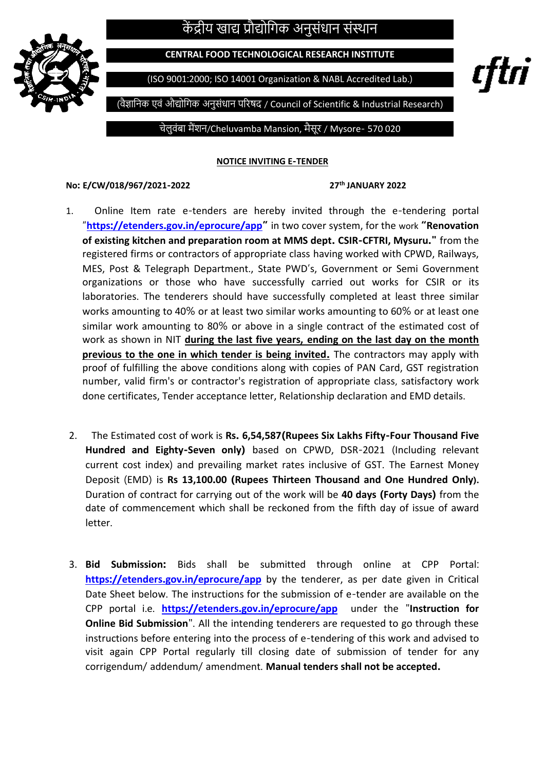## केंद्रीय खाद्य प्रौद्योगिक अनुसंधान संस्थान



**CENTRAL FOOD TECHNOLOGICAL RESEARCH INSTITUTE**

(ISO 9001:2000; ISO 14001 Organization & NABL Accredited Lab.)

rttri

(वैज्ञागनक एवं औद्योगिक अनुसंधान परिषद / Council of Scientific & Industrial Research)

चेलुवंबा मैंशन/Cheluvamba Mansion, मैसूि / Mysore- 570 020

**NOTICE INVITING E-TENDER**

## **No: E/CW/018/967/2021-2022 27th JANUARY 2022**

- 1.Online Item rate e-tenders are hereby invited through the e-tendering portal "**https://etenders.gov.in/[eprocure](https://etenders.gov.in/eprocure/app)/app"** in two cover system, for the work **"Renovation of existing kitchen and preparation room at MMS dept. CSIR-CFTRI, Mysuru."** from the registered firms or contractors of appropriate class having worked with CPWD, Railways, MES, Post & Telegraph Department., State PWD's, Government or Semi Government organizations or those who have successfully carried out works for CSIR or its laboratories. The tenderers should have successfully completed at least three similar works amounting to 40% or at least two similar works amounting to 60% or at least one similar work amounting to 80% or above in a single contract of the estimated cost of work as shown in NIT **during the last five years, ending on the last day on the month previous to the one in which tender is being invited.** The contractors may apply with proof of fulfilling the above conditions along with copies of PAN Card, GST registration number, valid firm's or contractor's registration of appropriate class, satisfactory work done certificates, Tender acceptance letter, Relationship declaration and EMD details.
- 2.The Estimated cost of work is **Rs. 6,54,587(Rupees Six Lakhs Fifty-Four Thousand Five Hundred and Eighty-Seven only)** based on CPWD, DSR-2021 (Including relevant current cost index) and prevailing market rates inclusive of GST. The Earnest Money Deposit (EMD) is **Rs 13,100.00 (Rupees Thirteen Thousand and One Hundred Only).** Duration of contract for carrying out of the work will be **40 days (Forty Days)** from the date of commencement which shall be reckoned from the fifth day of issue of award letter.
- 3. **Bid Submission:** Bids shall be submitted through online at CPP Portal: **https://etenders.gov.in/[eprocure](https://etenders.gov.in/eprocure/app)/app** by the tenderer, as per date given in Critical Date Sheet below. The instructions for the submission of e-tender are available on the CPP portal i.e. **https://etenders.gov.in/[eprocure](https://etenders.gov.in/eprocure/app)/app** under the "**Instruction for Online Bid Submission**". All the intending tenderers are requested to go through these instructions before entering into the process of e-tendering of this work and advised to visit again CPP Portal regularly till closing date of submission of tender for any corrigendum/ addendum/ amendment. **Manual tenders shall not be accepted.**